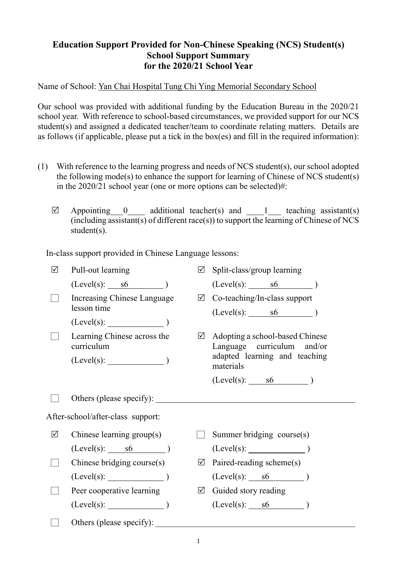## **Education Support Provided for Non-Chinese Speaking (NCS) Student(s) School Support Summary for the 2020/21 School Year**

Name of School: Yan Chai Hospital Tung Chi Ying Memorial Secondary School

Our school was provided with additional funding by the Education Bureau in the 2020/21 school year. With reference to school-based circumstances, we provided support for our NCS student(s) and assigned a dedicated teacher/team to coordinate relating matters. Details are as follows (if applicable, please put a tick in the box(es) and fill in the required information):

- (1) With reference to the learning progress and needs of NCS student(s), our school adopted the following mode(s) to enhance the support for learning of Chinese of NCS student(s) in the 2020/21 school year (one or more options can be selected)#:
	- $\boxtimes$  Appointing 0 additional teacher(s) and 1 teaching assistant(s) (including assistant(s) of different race(s)) to support the learning of Chinese of NCS student(s).

In-class support provided in Chinese Language lessons:

| $\sqrt{}$                         | Pull-out learning                         | ☑ | Split-class/group learning                                    |
|-----------------------------------|-------------------------------------------|---|---------------------------------------------------------------|
|                                   | $(Level(s):$ s6 $)$                       |   | $(Level(s):$ s6 $)$                                           |
|                                   | Increasing Chinese Language               |   | $\boxtimes$ Co-teaching/In-class support                      |
|                                   | lesson time                               |   | $(Level(s):$ s6 $)$                                           |
|                                   | (Level(s):                                |   |                                                               |
|                                   | Learning Chinese across the<br>curriculum | ☑ | Adopting a school-based Chinese<br>Language curriculum and/or |
|                                   | $(Level(s):$ $)$                          |   | adapted learning and teaching<br>materials                    |
|                                   |                                           |   | $(Level(s):$ s6 $)$                                           |
|                                   | Others (please specify):                  |   |                                                               |
| After-school/after-class support: |                                           |   |                                                               |
| ☑                                 | Chinese learning group(s)                 |   | Summer bridging course(s)                                     |
|                                   | $(Level(s):$ s6 $)$                       |   | (Level(s):                                                    |
|                                   | Chinese bridging course(s)                | ☑ | Paired-reading scheme(s)                                      |
|                                   | $(Level(s):$ (Level(s):                   |   | $(Level(s):$ s6 $)$                                           |
|                                   | Peer cooperative learning                 |   | $\boxtimes$ Guided story reading                              |
|                                   | (Level(s):                                |   | $(Level(s):$ $s6$ )                                           |
|                                   | Others (please specify):                  |   |                                                               |